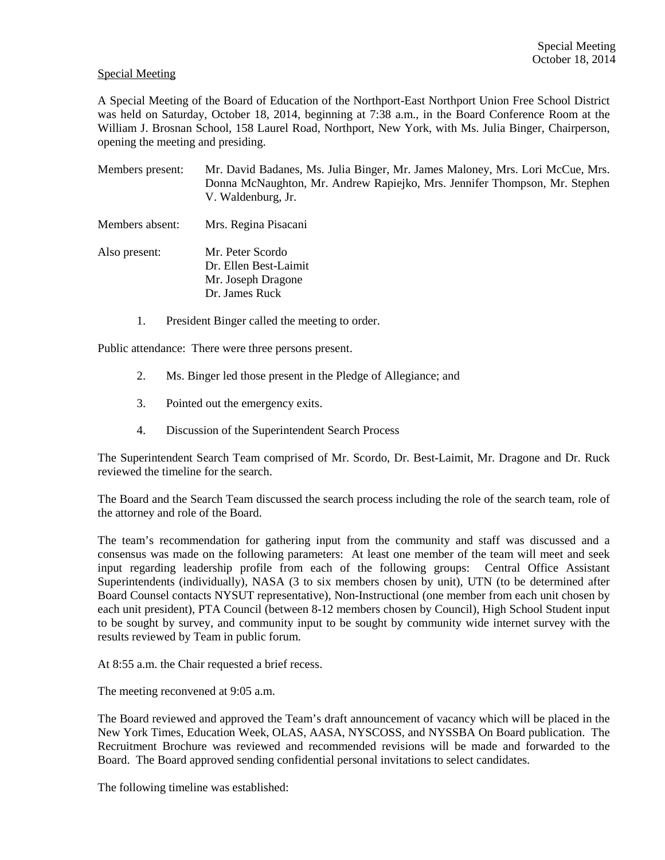## Special Meeting

A Special Meeting of the Board of Education of the Northport-East Northport Union Free School District was held on Saturday, October 18, 2014, beginning at 7:38 a.m., in the Board Conference Room at the William J. Brosnan School, 158 Laurel Road, Northport, New York, with Ms. Julia Binger, Chairperson, opening the meeting and presiding.

- Members present: Mr. David Badanes, Ms. Julia Binger, Mr. James Maloney, Mrs. Lori McCue, Mrs. Donna McNaughton, Mr. Andrew Rapiejko, Mrs. Jennifer Thompson, Mr. Stephen V. Waldenburg, Jr.
- Members absent: Mrs. Regina Pisacani
- Also present: Mr. Peter Scordo Dr. Ellen Best-Laimit Mr. Joseph Dragone Dr. James Ruck
	- 1. President Binger called the meeting to order.

Public attendance: There were three persons present.

- 2. Ms. Binger led those present in the Pledge of Allegiance; and
- 3. Pointed out the emergency exits.
- 4. Discussion of the Superintendent Search Process

The Superintendent Search Team comprised of Mr. Scordo, Dr. Best-Laimit, Mr. Dragone and Dr. Ruck reviewed the timeline for the search.

The Board and the Search Team discussed the search process including the role of the search team, role of the attorney and role of the Board.

The team's recommendation for gathering input from the community and staff was discussed and a consensus was made on the following parameters: At least one member of the team will meet and seek input regarding leadership profile from each of the following groups: Central Office Assistant Superintendents (individually), NASA (3 to six members chosen by unit), UTN (to be determined after Board Counsel contacts NYSUT representative), Non-Instructional (one member from each unit chosen by each unit president), PTA Council (between 8-12 members chosen by Council), High School Student input to be sought by survey, and community input to be sought by community wide internet survey with the results reviewed by Team in public forum.

At 8:55 a.m. the Chair requested a brief recess.

The meeting reconvened at 9:05 a.m.

The Board reviewed and approved the Team's draft announcement of vacancy which will be placed in the New York Times, Education Week, OLAS, AASA, NYSCOSS, and NYSSBA On Board publication. The Recruitment Brochure was reviewed and recommended revisions will be made and forwarded to the Board. The Board approved sending confidential personal invitations to select candidates.

The following timeline was established: